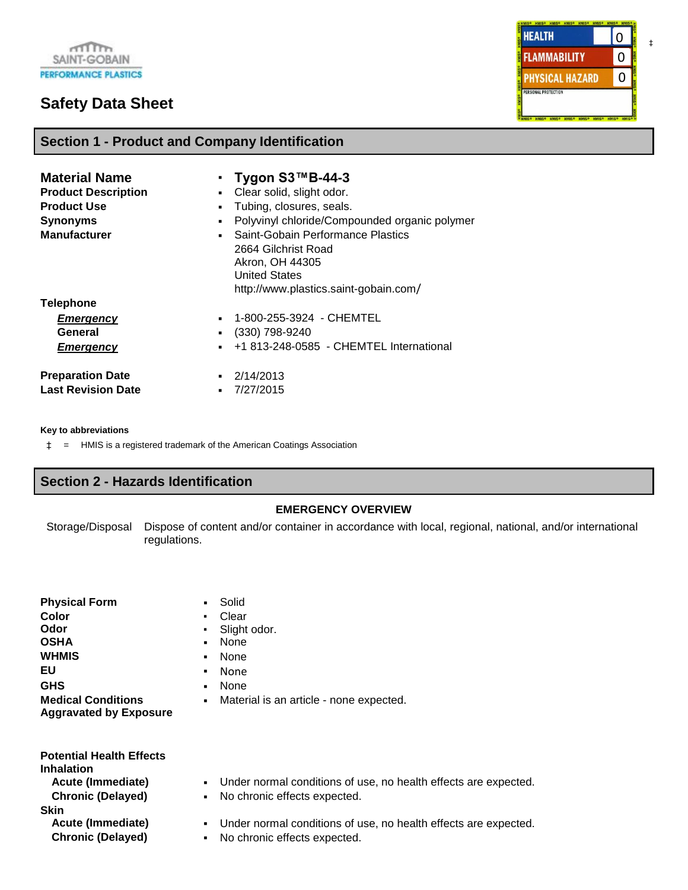# **Safety Data Sheet**

**HEALTH** 0 **FLAMMABILITY** 0 0**PHYSICAL HAZARD** PERSONAL PROTECTION

| <b>Material Name</b><br><b>Product Description</b><br><b>Product Use</b><br><b>Synonyms</b><br><b>Manufacturer</b> | Tygon S3™B-44-3<br>Clear solid, slight odor.<br>$\blacksquare$<br>Tubing, closures, seals.<br>$\blacksquare$<br>Polyvinyl chloride/Compounded organic polymer<br>٠<br>Saint-Gobain Performance Plastics<br>$\blacksquare$<br>2664 Gilchrist Road<br>Akron, OH 44305<br><b>United States</b><br>http://www.plastics.saint-gobain.com/ |
|--------------------------------------------------------------------------------------------------------------------|--------------------------------------------------------------------------------------------------------------------------------------------------------------------------------------------------------------------------------------------------------------------------------------------------------------------------------------|
| <b>Telephone</b><br><b>Emergency</b><br>General<br><b>Emergency</b>                                                | 1-800-255-3924 - CHEMTEL<br>$\blacksquare$<br>(330) 798-9240<br>+1 813-248-0585 - CHEMTEL International<br>$\mathbf{r}$                                                                                                                                                                                                              |
| <b>Preparation Date</b><br><b>Last Revision Date</b>                                                               | 2/14/2013<br>7/27/2015                                                                                                                                                                                                                                                                                                               |

#### **Key to abbreviations**

‡ = HMIS is a registered trademark of the American Coatings Association

**Section 1 - Product and Company Identification**

#### **Section 2 - Hazards Identification**

#### **EMERGENCY OVERVIEW**

Storage/Disposal Dispose of content and/or container in accordance with local, regional, national, and/or international regulations.

| <b>Physical Form</b>          | Solid<br>$\blacksquare$                                   |
|-------------------------------|-----------------------------------------------------------|
| Color                         | Clear<br>$\blacksquare$                                   |
| Odor                          | Slight odor.<br>$\blacksquare$                            |
| <b>OSHA</b>                   | None<br>$\blacksquare$                                    |
| <b>WHMIS</b>                  | None<br>$\blacksquare$                                    |
| EU                            | None<br>$\blacksquare$                                    |
| <b>GHS</b>                    | None<br>$\blacksquare$                                    |
| <b>Medical Conditions</b>     | Material is an article - none expected.<br>$\blacksquare$ |
| <b>Aggravated by Exposure</b> |                                                           |

| <b>Potential Health Effects</b><br><b>Inhalation</b><br>Acute (Immediate)<br><b>Chronic (Delayed)</b> | $\mathbf{u}$ . | • Under normal conditions of use, no health effects are expected.<br>No chronic effects expected. |
|-------------------------------------------------------------------------------------------------------|----------------|---------------------------------------------------------------------------------------------------|
| <b>Skin</b><br>Acute (Immediate)<br><b>Chronic (Delayed)</b>                                          | $\blacksquare$ | • Under normal conditions of use, no health effects are expected.<br>No chronic effects expected. |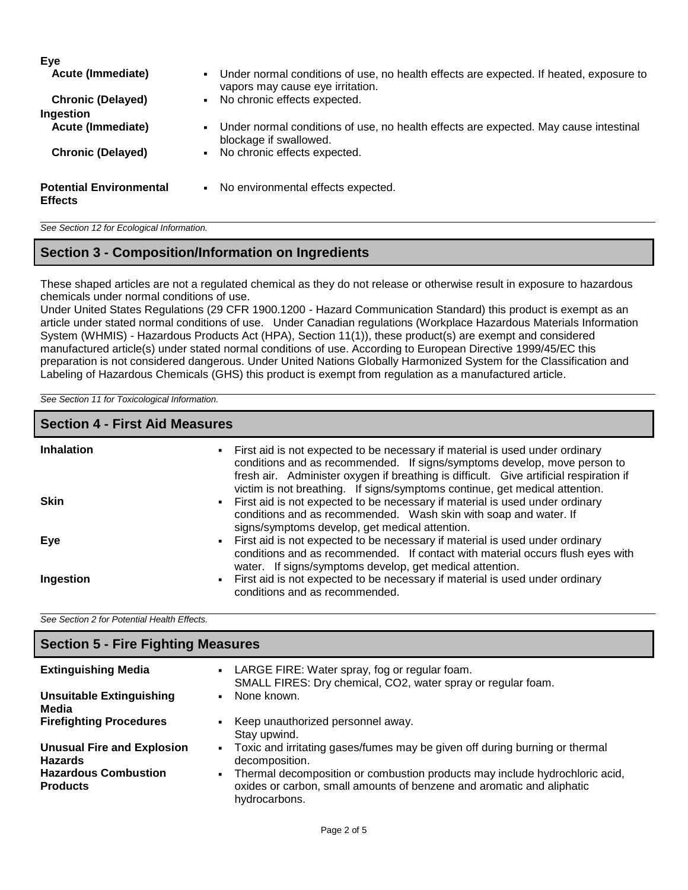| <b>Eye</b><br><b>Acute (Immediate)</b>           | Under normal conditions of use, no health effects are expected. If heated, exposure to<br>$\blacksquare$<br>vapors may cause eye irritation. |
|--------------------------------------------------|----------------------------------------------------------------------------------------------------------------------------------------------|
| <b>Chronic (Delayed)</b>                         | No chronic effects expected.                                                                                                                 |
| Ingestion                                        |                                                                                                                                              |
| <b>Acute (Immediate)</b>                         | Under normal conditions of use, no health effects are expected. May cause intestinal<br>blockage if swallowed.                               |
| <b>Chronic (Delayed)</b>                         | No chronic effects expected.                                                                                                                 |
| <b>Potential Environmental</b><br><b>Effects</b> | No environmental effects expected.                                                                                                           |

*See Section 12 for Ecological Information.*

#### **Section 3 - Composition/Information on Ingredients**

These shaped articles are not a regulated chemical as they do not release or otherwise result in exposure to hazardous chemicals under normal conditions of use.

Under United States Regulations (29 CFR 1900.1200 - Hazard Communication Standard) this product is exempt as an article under stated normal conditions of use. Under Canadian regulations (Workplace Hazardous Materials Information System (WHMIS) - Hazardous Products Act (HPA), Section 11(1)), these product(s) are exempt and considered manufactured article(s) under stated normal conditions of use. According to European Directive 1999/45/EC this preparation is not considered dangerous. Under United Nations Globally Harmonized System for the Classification and Labeling of Hazardous Chemicals (GHS) this product is exempt from regulation as a manufactured article.

*See Section 11 for Toxicological Information.*

| <b>Section 4 - First Aid Measures</b> |                                                                                                                                                                                                                                                                                                                                     |  |  |
|---------------------------------------|-------------------------------------------------------------------------------------------------------------------------------------------------------------------------------------------------------------------------------------------------------------------------------------------------------------------------------------|--|--|
| <b>Inhalation</b>                     | • First aid is not expected to be necessary if material is used under ordinary<br>conditions and as recommended. If signs/symptoms develop, move person to<br>fresh air. Administer oxygen if breathing is difficult. Give artificial respiration if<br>victim is not breathing. If signs/symptoms continue, get medical attention. |  |  |
| <b>Skin</b>                           | First aid is not expected to be necessary if material is used under ordinary<br>$\blacksquare$<br>conditions and as recommended. Wash skin with soap and water. If<br>signs/symptoms develop, get medical attention.                                                                                                                |  |  |
| Eye                                   | First aid is not expected to be necessary if material is used under ordinary<br>$\mathbf{u}$ .<br>conditions and as recommended. If contact with material occurs flush eyes with<br>water. If signs/symptoms develop, get medical attention.                                                                                        |  |  |
| Ingestion                             | First aid is not expected to be necessary if material is used under ordinary<br>٠.<br>conditions and as recommended.                                                                                                                                                                                                                |  |  |

*See Section 2 for Potential Health Effects.*

| <b>Section 5 - Fire Fighting Measures</b>           |                                                                                                                                                                       |  |  |
|-----------------------------------------------------|-----------------------------------------------------------------------------------------------------------------------------------------------------------------------|--|--|
| <b>Extinguishing Media</b>                          | • LARGE FIRE: Water spray, fog or regular foam.<br>SMALL FIRES: Dry chemical, CO2, water spray or regular foam.                                                       |  |  |
| <b>Unsuitable Extinguishing</b><br>Media            | None known.                                                                                                                                                           |  |  |
| <b>Firefighting Procedures</b>                      | Keep unauthorized personnel away.<br>Stay upwind.                                                                                                                     |  |  |
| <b>Unusual Fire and Explosion</b><br><b>Hazards</b> | Toxic and irritating gases/fumes may be given off during burning or thermal<br>decomposition.                                                                         |  |  |
| <b>Hazardous Combustion</b><br><b>Products</b>      | Thermal decomposition or combustion products may include hydrochloric acid,<br>oxides or carbon, small amounts of benzene and aromatic and aliphatic<br>hydrocarbons. |  |  |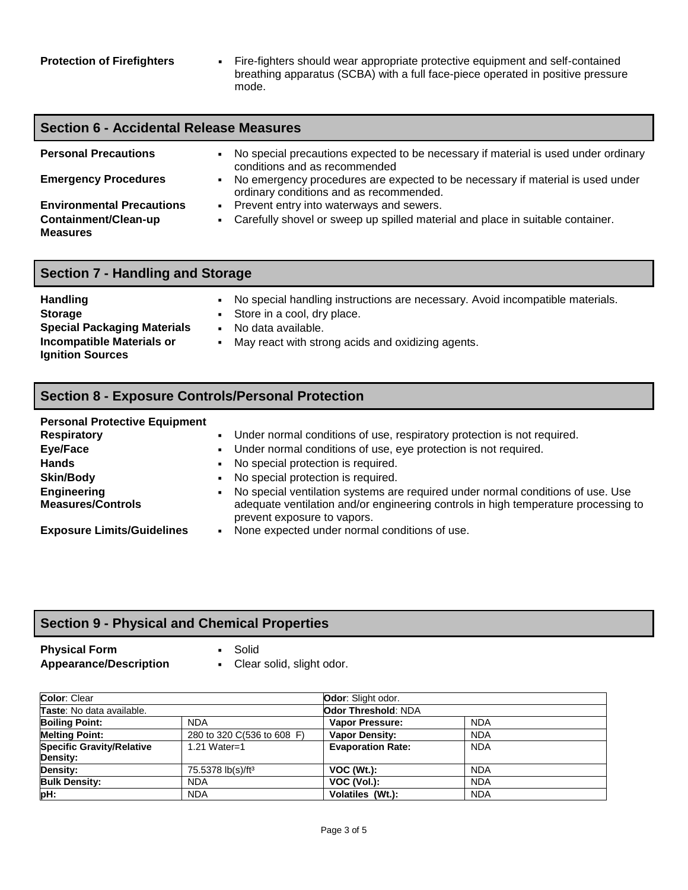**Protection of Firefighters** • Fire-fighters should wear appropriate protective equipment and self-contained breathing apparatus (SCBA) with a full face-piece operated in positive pressure mode.

| <b>Section 6 - Accidental Release Measures</b> |                                                                                                                                             |  |  |
|------------------------------------------------|---------------------------------------------------------------------------------------------------------------------------------------------|--|--|
| <b>Personal Precautions</b>                    | No special precautions expected to be necessary if material is used under ordinary<br>conditions and as recommended                         |  |  |
| <b>Emergency Procedures</b>                    | No emergency procedures are expected to be necessary if material is used under<br>$\blacksquare$<br>ordinary conditions and as recommended. |  |  |
| <b>Environmental Precautions</b>               | Prevent entry into waterways and sewers.<br>$\mathbf{H}$                                                                                    |  |  |
| Containment/Clean-up<br><b>Measures</b>        | Carefully shovel or sweep up spilled material and place in suitable container.                                                              |  |  |

| <b>Section 7 - Handling and Storage</b> |                |                                                                                                                  |  |
|-----------------------------------------|----------------|------------------------------------------------------------------------------------------------------------------|--|
| <b>Handling</b><br><b>Storage</b>       |                | - No special handling instructions are necessary. Avoid incompatible materials.<br>• Store in a cool, dry place. |  |
| <b>Special Packaging Materials</b>      | $\blacksquare$ | No data available.                                                                                               |  |

- **Incompatible Materials or Ignition Sources**
- May react with strong acids and oxidizing agents.

## **Section 8 - Exposure Controls/Personal Protection**

| <b>Personal Protective Equipment</b> |                |                                                                                    |
|--------------------------------------|----------------|------------------------------------------------------------------------------------|
| <b>Respiratory</b>                   | $\blacksquare$ | Under normal conditions of use, respiratory protection is not required.            |
| Eye/Face                             | $\blacksquare$ | Under normal conditions of use, eye protection is not required.                    |
| <b>Hands</b>                         | $\sim$         | No special protection is required.                                                 |
| <b>Skin/Body</b>                     | $\blacksquare$ | No special protection is required.                                                 |
| Engineering                          | $\blacksquare$ | No special ventilation systems are required under normal conditions of use. Use    |
| <b>Measures/Controls</b>             |                | adequate ventilation and/or engineering controls in high temperature processing to |
|                                      |                | prevent exposure to vapors.                                                        |
| <b>Exposure Limits/Guidelines</b>    |                | None expected under normal conditions of use.                                      |

# **Section 9 - Physical and Chemical Properties**

**Physical Form**<br> **Appearance/Description**<br> **Example 20 Formula Propearance/Description**<br> **Example 20 Formula Propearance/Description Appearance/Description ▪** 

| Color: Clear                     |                               | <b>Odor:</b> Slight odor. |            |
|----------------------------------|-------------------------------|---------------------------|------------|
| Taste: No data available.        |                               | Odor Threshold: NDA       |            |
| <b>Boiling Point:</b>            | <b>NDA</b>                    | Vapor Pressure:           | <b>NDA</b> |
| <b>Melting Point:</b>            | 280 to 320 C(536 to 608 F)    | <b>Vapor Density:</b>     | <b>NDA</b> |
| <b>Specific Gravity/Relative</b> | 1.21 Water=1                  | <b>Evaporation Rate:</b>  | <b>NDA</b> |
| Density:                         |                               |                           |            |
| Density:                         | 75.5378 lb(s)/ft <sup>3</sup> | $VOC (Wt.)$ :             | <b>NDA</b> |
| <b>Bulk Density:</b>             | <b>NDA</b>                    | VOC (Vol.):               | <b>NDA</b> |
| pH:                              | <b>NDA</b>                    | Volatiles (Wt.):          | <b>NDA</b> |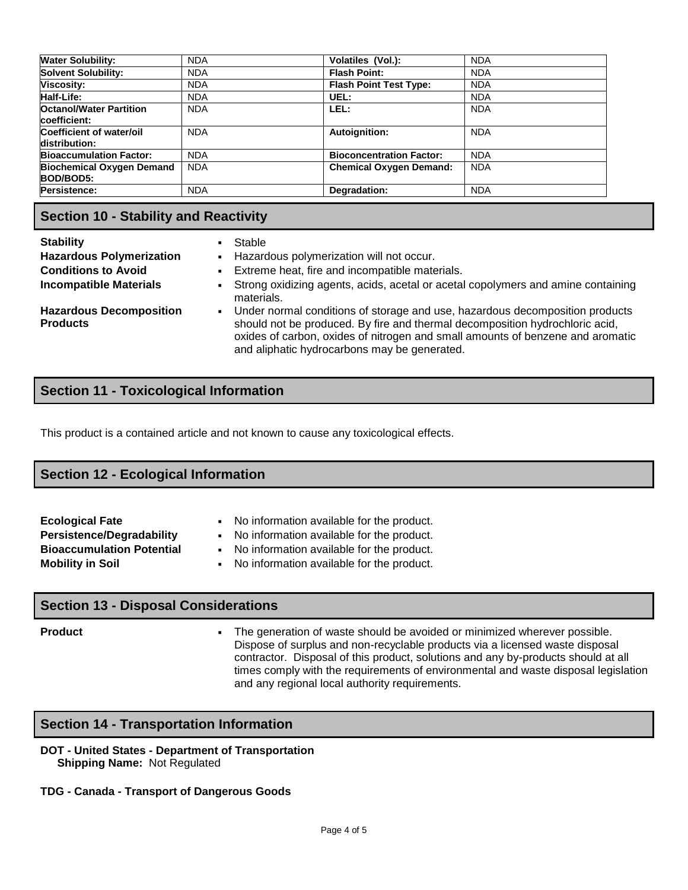| <b>Water Solubility:</b>                       | <b>NDA</b> | Volatiles (Vol.):               | <b>NDA</b> |
|------------------------------------------------|------------|---------------------------------|------------|
| <b>Solvent Solubility:</b>                     | <b>NDA</b> | <b>Flash Point:</b>             | <b>NDA</b> |
| <b>Viscosity:</b>                              | <b>NDA</b> | <b>Flash Point Test Type:</b>   | <b>NDA</b> |
| <b>Half-Life:</b>                              | <b>NDA</b> | UEL:                            | <b>NDA</b> |
| <b>Octanol/Water Partition</b><br>coefficient: | <b>NDA</b> | LEL:                            | <b>NDA</b> |
| Coefficient of water/oil<br>distribution:      | <b>NDA</b> | Autoignition:                   | <b>NDA</b> |
| <b>Bioaccumulation Factor:</b>                 | <b>NDA</b> | <b>Bioconcentration Factor:</b> | <b>NDA</b> |
| <b>Biochemical Oxygen Demand</b><br>BOD/BOD5:  | <b>NDA</b> | <b>Chemical Oxygen Demand:</b>  | <b>NDA</b> |
| Persistence:                                   | <b>NDA</b> | Degradation:                    | <b>NDA</b> |

### **Section 10 - Stability and Reactivity**

- **Stability Example 1** Stable
- **Hazardous Polymerization ·** Hazardous polymerization will not occur.
- **Conditions to Avoid •** Extreme heat, fire and incompatible materials.
- **Incompatible Materials** Strong oxidizing agents, acids, acetal or acetal copolymers and amine containing materials.

**Hazardous Decomposition Products**

▪ Under normal conditions of storage and use, hazardous decomposition products should not be produced. By fire and thermal decomposition hydrochloric acid, oxides of carbon, oxides of nitrogen and small amounts of benzene and aromatic and aliphatic hydrocarbons may be generated.

## **Section 11 - Toxicological Information**

This product is a contained article and not known to cause any toxicological effects.

#### **Section 12 - Ecological Information**

| <b>Ecological Fate</b>           | No information available for the product.<br>$\blacksquare$ |
|----------------------------------|-------------------------------------------------------------|
| <b>Persistence/Degradability</b> | • No information available for the product.                 |
| <b>Bioaccumulation Potential</b> | • No information available for the product.                 |
| <b>Mobility in Soil</b>          | No information available for the product.<br><b>COLLEGE</b> |

#### **Section 13 - Disposal Considerations**

**Product Example 20 The generation of waste should be avoided or minimized wherever possible.** Dispose of surplus and non-recyclable products via a licensed waste disposal contractor. Disposal of this product, solutions and any by-products should at all times comply with the requirements of environmental and waste disposal legislation and any regional local authority requirements.

#### **Section 14 - Transportation Information**

#### **DOT - United States - Department of Transportation Shipping Name:** Not Regulated

#### **TDG - Canada - Transport of Dangerous Goods**